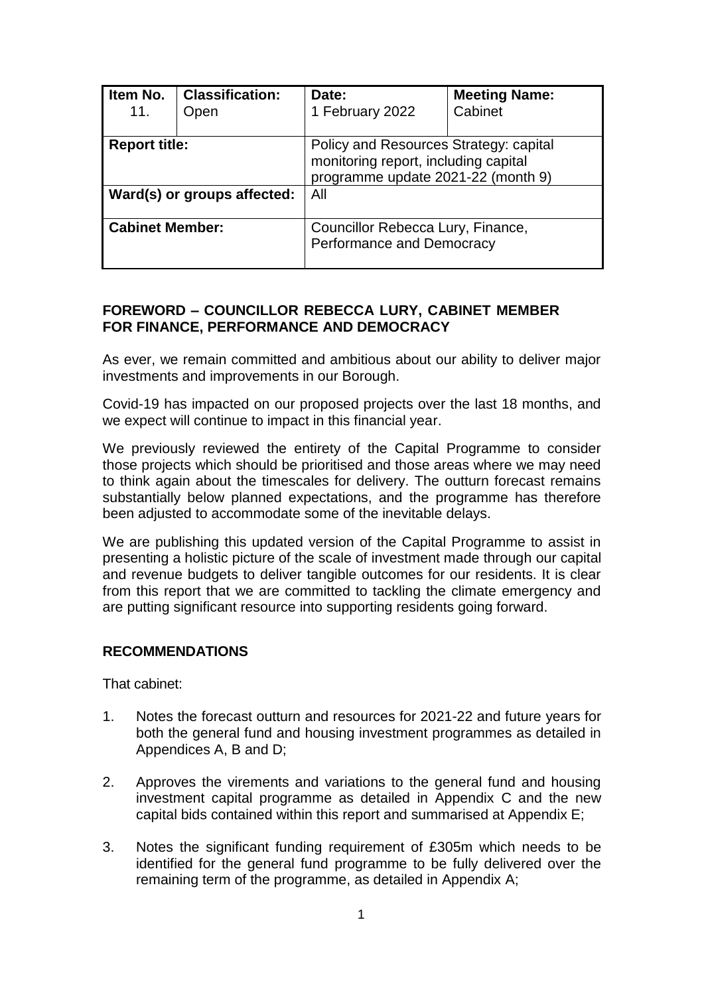| Item No.<br>11.             | <b>Classification:</b><br>Open | Date:<br>1 February 2022                                                                                             | <b>Meeting Name:</b><br>Cabinet |
|-----------------------------|--------------------------------|----------------------------------------------------------------------------------------------------------------------|---------------------------------|
| <b>Report title:</b>        |                                | Policy and Resources Strategy: capital<br>monitoring report, including capital<br>programme update 2021-22 (month 9) |                                 |
| Ward(s) or groups affected: |                                | All                                                                                                                  |                                 |
| <b>Cabinet Member:</b>      |                                | Councillor Rebecca Lury, Finance,<br>Performance and Democracy                                                       |                                 |

## **FOREWORD – COUNCILLOR REBECCA LURY, CABINET MEMBER FOR FINANCE, PERFORMANCE AND DEMOCRACY**

As ever, we remain committed and ambitious about our ability to deliver major investments and improvements in our Borough.

Covid-19 has impacted on our proposed projects over the last 18 months, and we expect will continue to impact in this financial year.

We previously reviewed the entirety of the Capital Programme to consider those projects which should be prioritised and those areas where we may need to think again about the timescales for delivery. The outturn forecast remains substantially below planned expectations, and the programme has therefore been adjusted to accommodate some of the inevitable delays.

We are publishing this updated version of the Capital Programme to assist in presenting a holistic picture of the scale of investment made through our capital and revenue budgets to deliver tangible outcomes for our residents. It is clear from this report that we are committed to tackling the climate emergency and are putting significant resource into supporting residents going forward.

#### **RECOMMENDATIONS**

That cabinet:

- 1. Notes the forecast outturn and resources for 2021-22 and future years for both the general fund and housing investment programmes as detailed in Appendices A, B and D;
- 2. Approves the virements and variations to the general fund and housing investment capital programme as detailed in Appendix C and the new capital bids contained within this report and summarised at Appendix E;
- 3. Notes the significant funding requirement of £305m which needs to be identified for the general fund programme to be fully delivered over the remaining term of the programme, as detailed in Appendix A;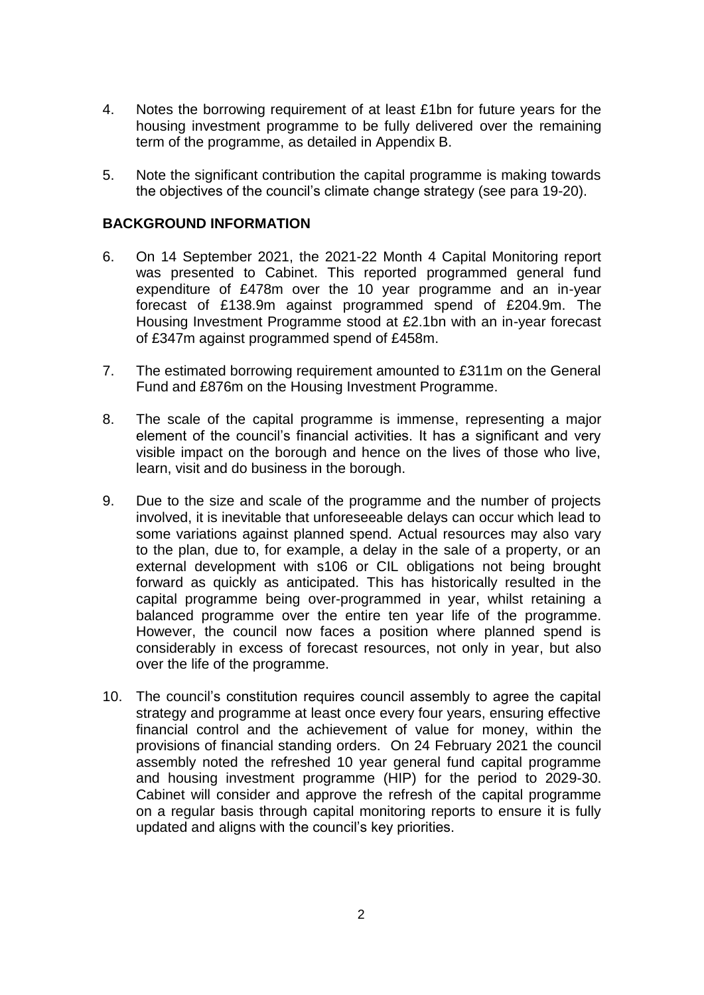- 4. Notes the borrowing requirement of at least £1bn for future years for the housing investment programme to be fully delivered over the remaining term of the programme, as detailed in Appendix B.
- 5. Note the significant contribution the capital programme is making towards the objectives of the council's climate change strategy (see para 19-20).

### **BACKGROUND INFORMATION**

- 6. On 14 September 2021, the 2021-22 Month 4 Capital Monitoring report was presented to Cabinet. This reported programmed general fund expenditure of £478m over the 10 year programme and an in-year forecast of £138.9m against programmed spend of £204.9m. The Housing Investment Programme stood at £2.1bn with an in-year forecast of £347m against programmed spend of £458m.
- 7. The estimated borrowing requirement amounted to £311m on the General Fund and £876m on the Housing Investment Programme.
- 8. The scale of the capital programme is immense, representing a major element of the council's financial activities. It has a significant and very visible impact on the borough and hence on the lives of those who live, learn, visit and do business in the borough.
- 9. Due to the size and scale of the programme and the number of projects involved, it is inevitable that unforeseeable delays can occur which lead to some variations against planned spend. Actual resources may also vary to the plan, due to, for example, a delay in the sale of a property, or an external development with s106 or CIL obligations not being brought forward as quickly as anticipated. This has historically resulted in the capital programme being over-programmed in year, whilst retaining a balanced programme over the entire ten year life of the programme. However, the council now faces a position where planned spend is considerably in excess of forecast resources, not only in year, but also over the life of the programme.
- 10. The council's constitution requires council assembly to agree the capital strategy and programme at least once every four years, ensuring effective financial control and the achievement of value for money, within the provisions of financial standing orders. On 24 February 2021 the council assembly noted the refreshed 10 year general fund capital programme and housing investment programme (HIP) for the period to 2029-30. Cabinet will consider and approve the refresh of the capital programme on a regular basis through capital monitoring reports to ensure it is fully updated and aligns with the council's key priorities.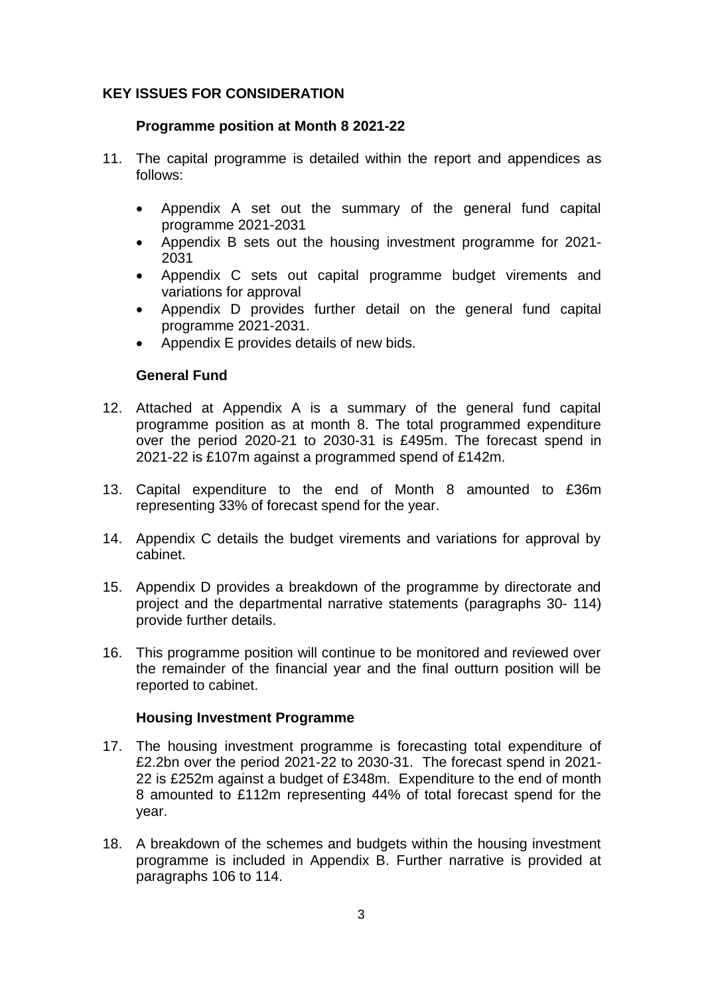## **KEY ISSUES FOR CONSIDERATION**

#### **Programme position at Month 8 2021-22**

- 11. The capital programme is detailed within the report and appendices as follows:
	- Appendix A set out the summary of the general fund capital programme 2021-2031
	- Appendix B sets out the housing investment programme for 2021- 2031
	- Appendix C sets out capital programme budget virements and variations for approval
	- Appendix D provides further detail on the general fund capital programme 2021-2031.
	- Appendix E provides details of new bids.

#### **General Fund**

- 12. Attached at Appendix A is a summary of the general fund capital programme position as at month 8. The total programmed expenditure over the period 2020-21 to 2030-31 is £495m. The forecast spend in 2021-22 is £107m against a programmed spend of £142m.
- 13. Capital expenditure to the end of Month 8 amounted to £36m representing 33% of forecast spend for the year.
- 14. Appendix C details the budget virements and variations for approval by cabinet.
- 15. Appendix D provides a breakdown of the programme by directorate and project and the departmental narrative statements (paragraphs 30- 114) provide further details.
- 16. This programme position will continue to be monitored and reviewed over the remainder of the financial year and the final outturn position will be reported to cabinet.

#### **Housing Investment Programme**

- 17. The housing investment programme is forecasting total expenditure of £2.2bn over the period 2021-22 to 2030-31. The forecast spend in 2021- 22 is £252m against a budget of £348m. Expenditure to the end of month 8 amounted to £112m representing 44% of total forecast spend for the year.
- 18. A breakdown of the schemes and budgets within the housing investment programme is included in Appendix B. Further narrative is provided at paragraphs 106 to 114.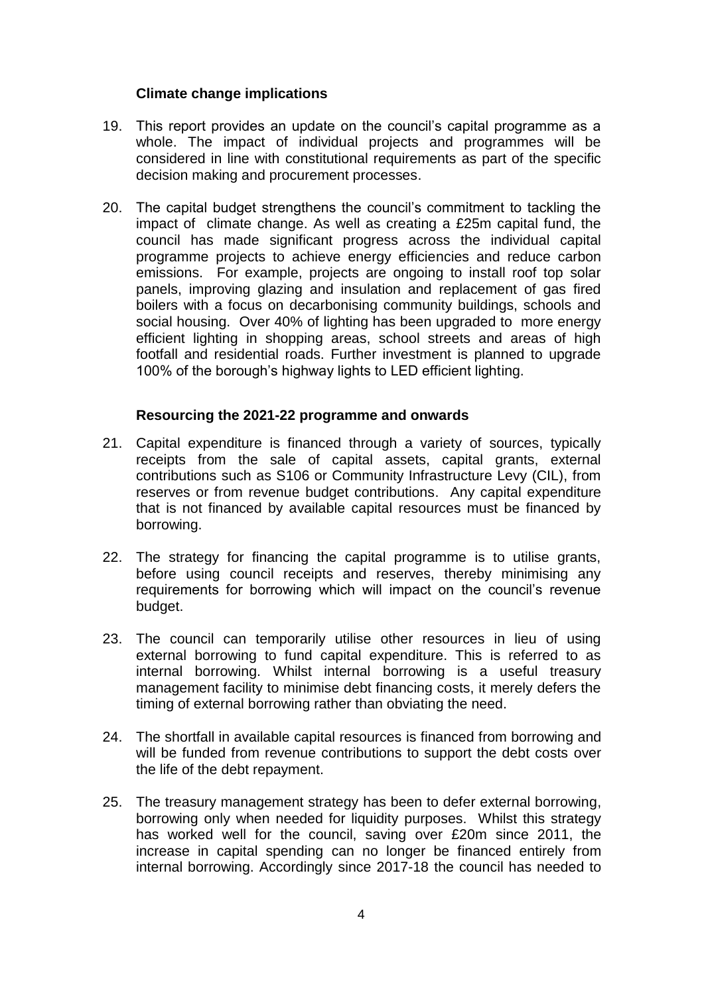## **Climate change implications**

- 19. This report provides an update on the council's capital programme as a whole. The impact of individual projects and programmes will be considered in line with constitutional requirements as part of the specific decision making and procurement processes.
- 20. The capital budget strengthens the council's commitment to tackling the impact of climate change. As well as creating a £25m capital fund, the council has made significant progress across the individual capital programme projects to achieve energy efficiencies and reduce carbon emissions. For example, projects are ongoing to install roof top solar panels, improving glazing and insulation and replacement of gas fired boilers with a focus on decarbonising community buildings, schools and social housing. Over 40% of lighting has been upgraded to more energy efficient lighting in shopping areas, school streets and areas of high footfall and residential roads. Further investment is planned to upgrade 100% of the borough's highway lights to LED efficient lighting.

#### **Resourcing the 2021-22 programme and onwards**

- 21. Capital expenditure is financed through a variety of sources, typically receipts from the sale of capital assets, capital grants, external contributions such as S106 or Community Infrastructure Levy (CIL), from reserves or from revenue budget contributions. Any capital expenditure that is not financed by available capital resources must be financed by borrowing.
- 22. The strategy for financing the capital programme is to utilise grants, before using council receipts and reserves, thereby minimising any requirements for borrowing which will impact on the council's revenue budget.
- 23. The council can temporarily utilise other resources in lieu of using external borrowing to fund capital expenditure. This is referred to as internal borrowing. Whilst internal borrowing is a useful treasury management facility to minimise debt financing costs, it merely defers the timing of external borrowing rather than obviating the need.
- 24. The shortfall in available capital resources is financed from borrowing and will be funded from revenue contributions to support the debt costs over the life of the debt repayment.
- 25. The treasury management strategy has been to defer external borrowing, borrowing only when needed for liquidity purposes. Whilst this strategy has worked well for the council, saving over £20m since 2011, the increase in capital spending can no longer be financed entirely from internal borrowing. Accordingly since 2017-18 the council has needed to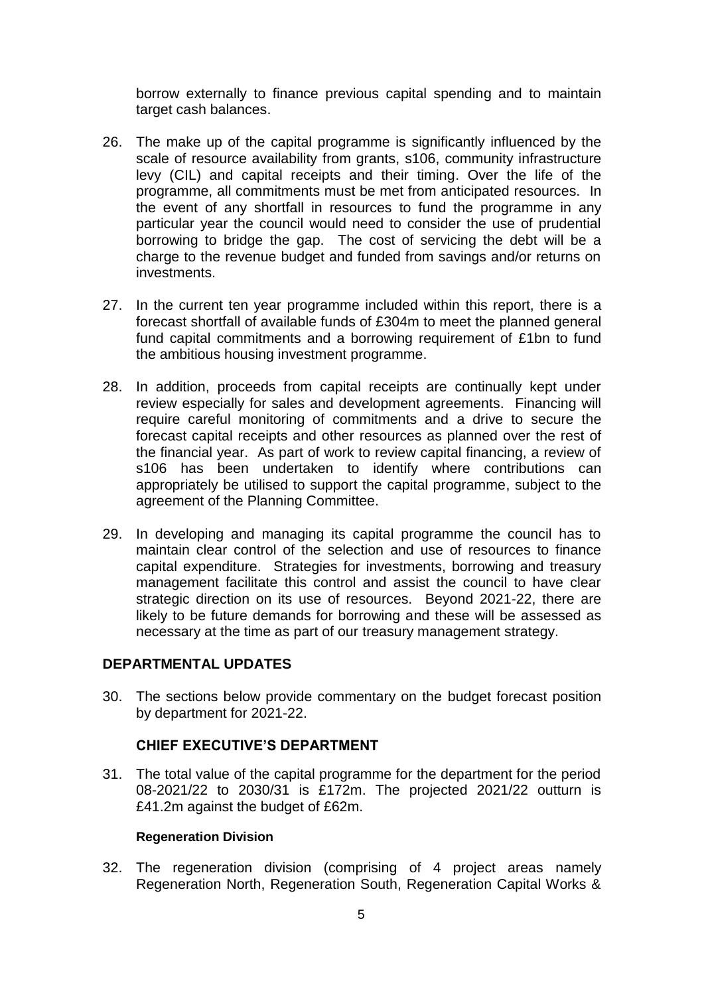borrow externally to finance previous capital spending and to maintain target cash balances.

- 26. The make up of the capital programme is significantly influenced by the scale of resource availability from grants, s106, community infrastructure levy (CIL) and capital receipts and their timing. Over the life of the programme, all commitments must be met from anticipated resources. In the event of any shortfall in resources to fund the programme in any particular year the council would need to consider the use of prudential borrowing to bridge the gap. The cost of servicing the debt will be a charge to the revenue budget and funded from savings and/or returns on investments.
- 27. In the current ten year programme included within this report, there is a forecast shortfall of available funds of £304m to meet the planned general fund capital commitments and a borrowing requirement of £1bn to fund the ambitious housing investment programme.
- 28. In addition, proceeds from capital receipts are continually kept under review especially for sales and development agreements. Financing will require careful monitoring of commitments and a drive to secure the forecast capital receipts and other resources as planned over the rest of the financial year. As part of work to review capital financing, a review of s106 has been undertaken to identify where contributions can appropriately be utilised to support the capital programme, subject to the agreement of the Planning Committee.
- 29. In developing and managing its capital programme the council has to maintain clear control of the selection and use of resources to finance capital expenditure. Strategies for investments, borrowing and treasury management facilitate this control and assist the council to have clear strategic direction on its use of resources. Beyond 2021-22, there are likely to be future demands for borrowing and these will be assessed as necessary at the time as part of our treasury management strategy.

## **DEPARTMENTAL UPDATES**

30. The sections below provide commentary on the budget forecast position by department for 2021-22.

## **CHIEF EXECUTIVE'S DEPARTMENT**

31. The total value of the capital programme for the department for the period 08-2021/22 to 2030/31 is £172m. The projected 2021/22 outturn is £41.2m against the budget of £62m.

#### **Regeneration Division**

32. The regeneration division (comprising of 4 project areas namely Regeneration North, Regeneration South, Regeneration Capital Works &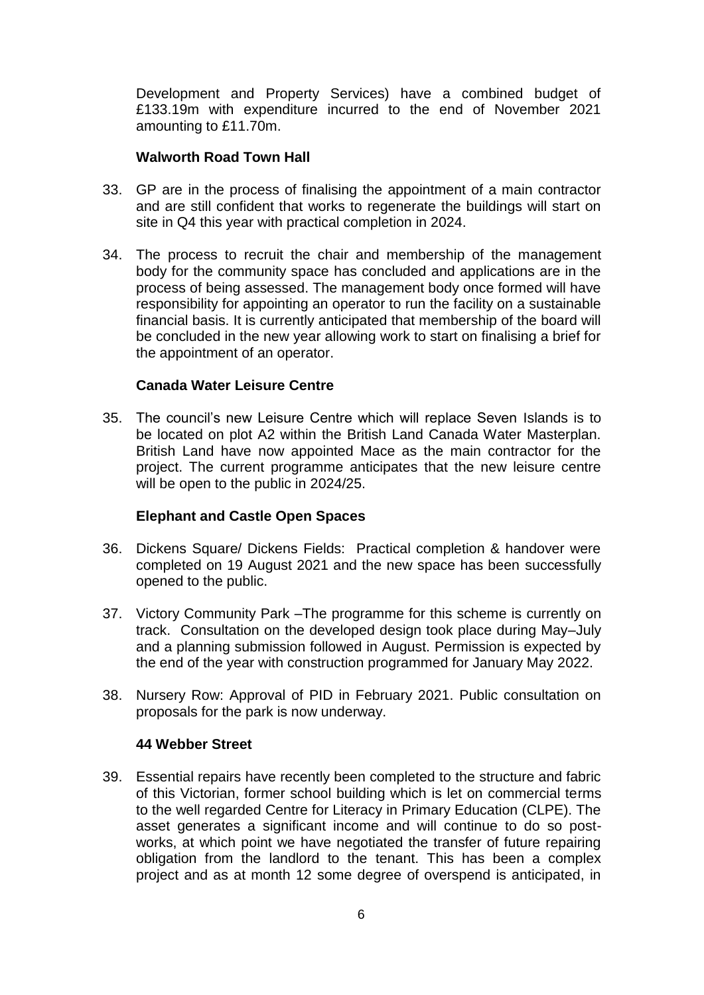Development and Property Services) have a combined budget of £133.19m with expenditure incurred to the end of November 2021 amounting to £11.70m.

#### **Walworth Road Town Hall**

- 33. GP are in the process of finalising the appointment of a main contractor and are still confident that works to regenerate the buildings will start on site in Q4 this year with practical completion in 2024.
- 34. The process to recruit the chair and membership of the management body for the community space has concluded and applications are in the process of being assessed. The management body once formed will have responsibility for appointing an operator to run the facility on a sustainable financial basis. It is currently anticipated that membership of the board will be concluded in the new year allowing work to start on finalising a brief for the appointment of an operator.

## **Canada Water Leisure Centre**

35. The council's new Leisure Centre which will replace Seven Islands is to be located on plot A2 within the British Land Canada Water Masterplan. British Land have now appointed Mace as the main contractor for the project. The current programme anticipates that the new leisure centre will be open to the public in 2024/25.

## **Elephant and Castle Open Spaces**

- 36. Dickens Square/ Dickens Fields: Practical completion & handover were completed on 19 August 2021 and the new space has been successfully opened to the public.
- 37. Victory Community Park –The programme for this scheme is currently on track. Consultation on the developed design took place during May–July and a planning submission followed in August. Permission is expected by the end of the year with construction programmed for January May 2022.
- 38. Nursery Row: Approval of PID in February 2021. Public consultation on proposals for the park is now underway.

#### **44 Webber Street**

39. Essential repairs have recently been completed to the structure and fabric of this Victorian, former school building which is let on commercial terms to the well regarded Centre for Literacy in Primary Education (CLPE). The asset generates a significant income and will continue to do so postworks, at which point we have negotiated the transfer of future repairing obligation from the landlord to the tenant. This has been a complex project and as at month 12 some degree of overspend is anticipated, in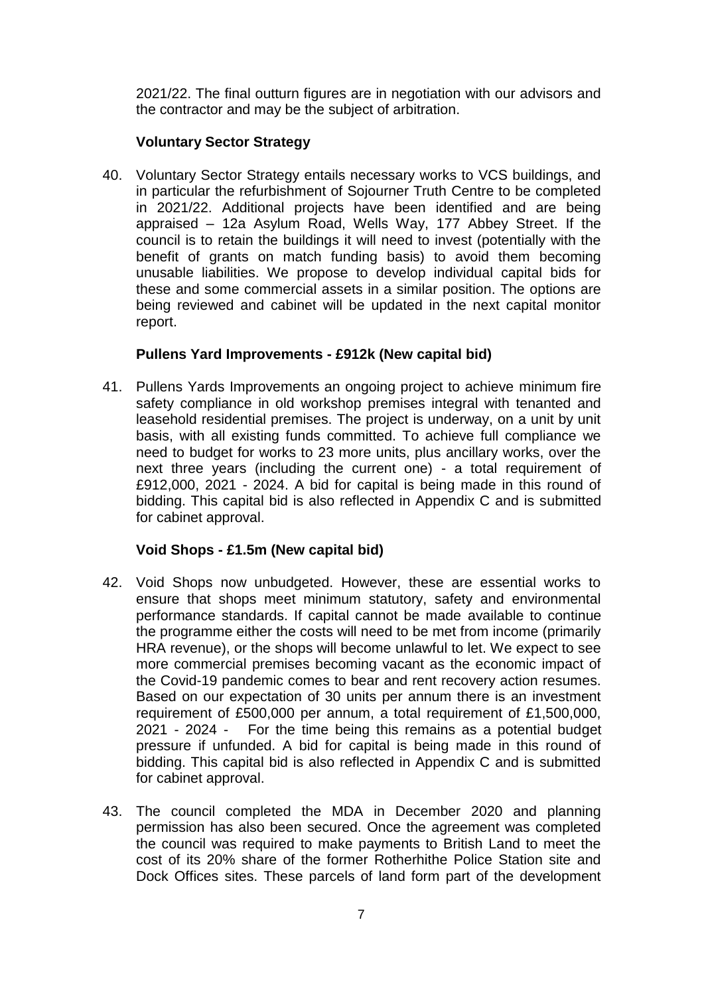2021/22. The final outturn figures are in negotiation with our advisors and the contractor and may be the subject of arbitration.

## **Voluntary Sector Strategy**

40. Voluntary Sector Strategy entails necessary works to VCS buildings, and in particular the refurbishment of Sojourner Truth Centre to be completed in 2021/22. Additional projects have been identified and are being appraised – 12a Asylum Road, Wells Way, 177 Abbey Street. If the council is to retain the buildings it will need to invest (potentially with the benefit of grants on match funding basis) to avoid them becoming unusable liabilities. We propose to develop individual capital bids for these and some commercial assets in a similar position. The options are being reviewed and cabinet will be updated in the next capital monitor report.

## **Pullens Yard Improvements - £912k (New capital bid)**

41. Pullens Yards Improvements an ongoing project to achieve minimum fire safety compliance in old workshop premises integral with tenanted and leasehold residential premises. The project is underway, on a unit by unit basis, with all existing funds committed. To achieve full compliance we need to budget for works to 23 more units, plus ancillary works, over the next three years (including the current one) - a total requirement of £912,000, 2021 - 2024. A bid for capital is being made in this round of bidding. This capital bid is also reflected in Appendix C and is submitted for cabinet approval.

## **Void Shops - £1.5m (New capital bid)**

- 42. Void Shops now unbudgeted. However, these are essential works to ensure that shops meet minimum statutory, safety and environmental performance standards. If capital cannot be made available to continue the programme either the costs will need to be met from income (primarily HRA revenue), or the shops will become unlawful to let. We expect to see more commercial premises becoming vacant as the economic impact of the Covid-19 pandemic comes to bear and rent recovery action resumes. Based on our expectation of 30 units per annum there is an investment requirement of £500,000 per annum, a total requirement of £1,500,000, 2021 - 2024 - For the time being this remains as a potential budget pressure if unfunded. A bid for capital is being made in this round of bidding. This capital bid is also reflected in Appendix C and is submitted for cabinet approval.
- 43. The council completed the MDA in December 2020 and planning permission has also been secured. Once the agreement was completed the council was required to make payments to British Land to meet the cost of its 20% share of the former Rotherhithe Police Station site and Dock Offices sites. These parcels of land form part of the development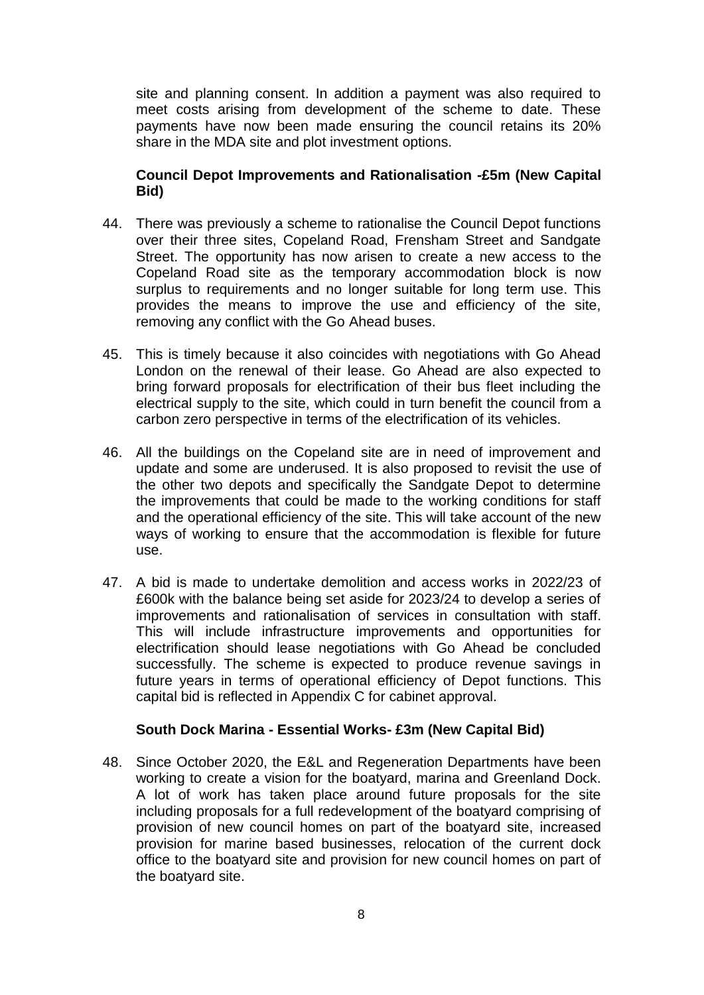site and planning consent. In addition a payment was also required to meet costs arising from development of the scheme to date. These payments have now been made ensuring the council retains its 20% share in the MDA site and plot investment options.

## **Council Depot Improvements and Rationalisation -£5m (New Capital Bid)**

- 44. There was previously a scheme to rationalise the Council Depot functions over their three sites, Copeland Road, Frensham Street and Sandgate Street. The opportunity has now arisen to create a new access to the Copeland Road site as the temporary accommodation block is now surplus to requirements and no longer suitable for long term use. This provides the means to improve the use and efficiency of the site, removing any conflict with the Go Ahead buses.
- 45. This is timely because it also coincides with negotiations with Go Ahead London on the renewal of their lease. Go Ahead are also expected to bring forward proposals for electrification of their bus fleet including the electrical supply to the site, which could in turn benefit the council from a carbon zero perspective in terms of the electrification of its vehicles.
- 46. All the buildings on the Copeland site are in need of improvement and update and some are underused. It is also proposed to revisit the use of the other two depots and specifically the Sandgate Depot to determine the improvements that could be made to the working conditions for staff and the operational efficiency of the site. This will take account of the new ways of working to ensure that the accommodation is flexible for future use.
- 47. A bid is made to undertake demolition and access works in 2022/23 of £600k with the balance being set aside for 2023/24 to develop a series of improvements and rationalisation of services in consultation with staff. This will include infrastructure improvements and opportunities for electrification should lease negotiations with Go Ahead be concluded successfully. The scheme is expected to produce revenue savings in future years in terms of operational efficiency of Depot functions. This capital bid is reflected in Appendix C for cabinet approval.

## **South Dock Marina - Essential Works- £3m (New Capital Bid)**

48. Since October 2020, the E&L and Regeneration Departments have been working to create a vision for the boatyard, marina and Greenland Dock. A lot of work has taken place around future proposals for the site including proposals for a full redevelopment of the boatyard comprising of provision of new council homes on part of the boatyard site, increased provision for marine based businesses, relocation of the current dock office to the boatyard site and provision for new council homes on part of the boatyard site.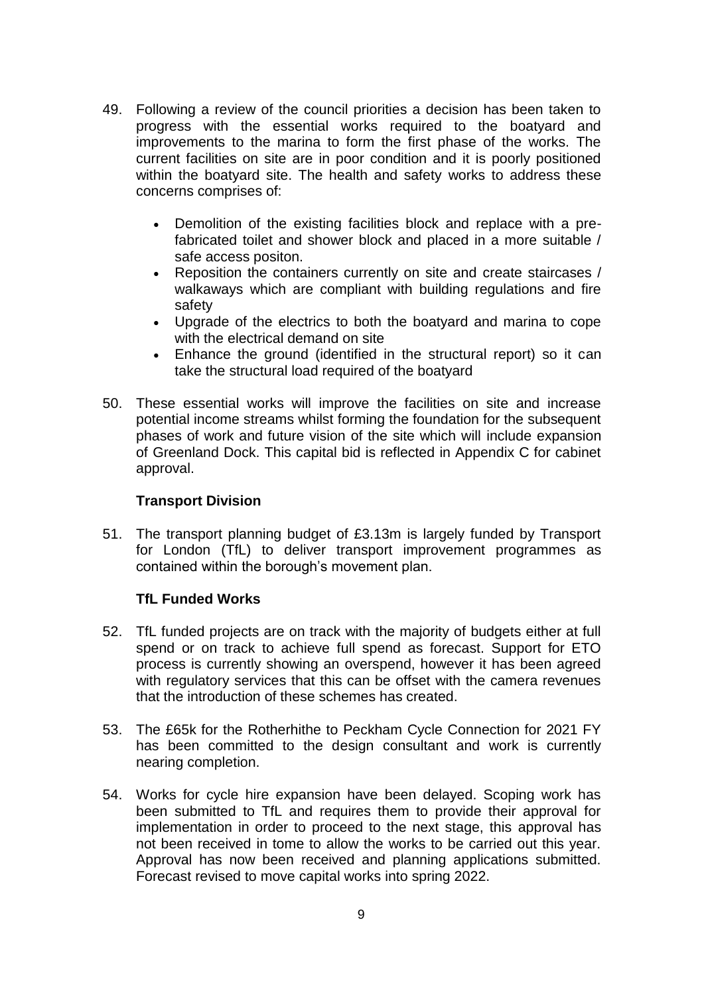- 49. Following a review of the council priorities a decision has been taken to progress with the essential works required to the boatyard and improvements to the marina to form the first phase of the works. The current facilities on site are in poor condition and it is poorly positioned within the boatyard site. The health and safety works to address these concerns comprises of:
	- Demolition of the existing facilities block and replace with a prefabricated toilet and shower block and placed in a more suitable / safe access positon.
	- Reposition the containers currently on site and create staircases / walkaways which are compliant with building regulations and fire safety
	- Upgrade of the electrics to both the boatyard and marina to cope with the electrical demand on site
	- Enhance the ground (identified in the structural report) so it can take the structural load required of the boatyard
- 50. These essential works will improve the facilities on site and increase potential income streams whilst forming the foundation for the subsequent phases of work and future vision of the site which will include expansion of Greenland Dock. This capital bid is reflected in Appendix C for cabinet approval.

## **Transport Division**

51. The transport planning budget of £3.13m is largely funded by Transport for London (TfL) to deliver transport improvement programmes as contained within the borough's movement plan.

## **TfL Funded Works**

- 52. TfL funded projects are on track with the majority of budgets either at full spend or on track to achieve full spend as forecast. Support for ETO process is currently showing an overspend, however it has been agreed with regulatory services that this can be offset with the camera revenues that the introduction of these schemes has created.
- 53. The £65k for the Rotherhithe to Peckham Cycle Connection for 2021 FY has been committed to the design consultant and work is currently nearing completion.
- 54. Works for cycle hire expansion have been delayed. Scoping work has been submitted to TfL and requires them to provide their approval for implementation in order to proceed to the next stage, this approval has not been received in tome to allow the works to be carried out this year. Approval has now been received and planning applications submitted. Forecast revised to move capital works into spring 2022.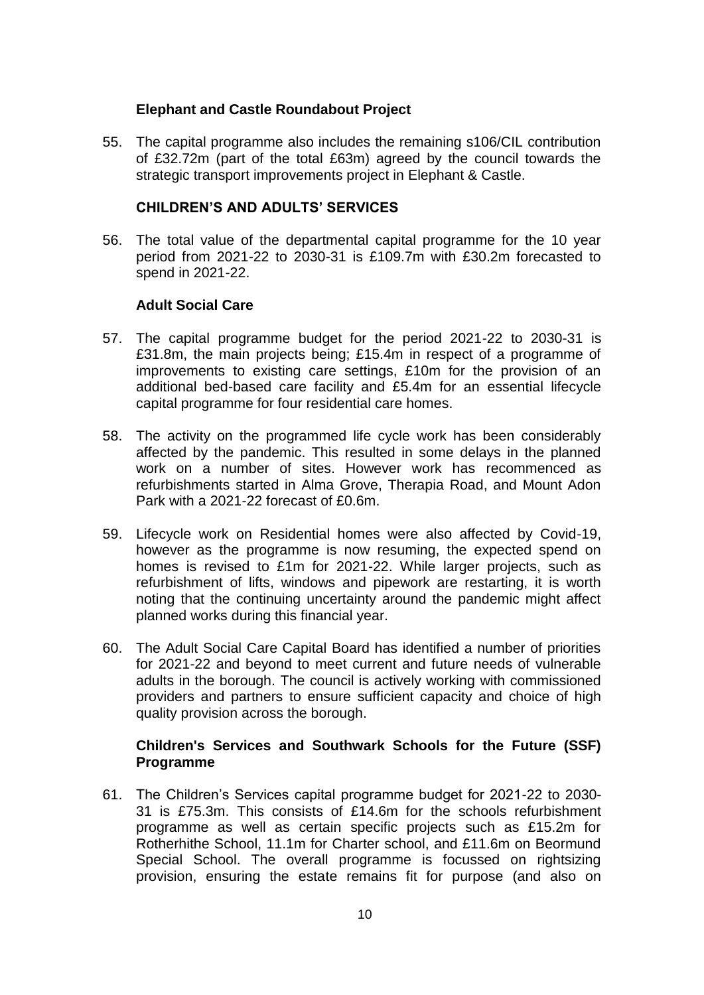### **Elephant and Castle Roundabout Project**

55. The capital programme also includes the remaining s106/CIL contribution of £32.72m (part of the total £63m) agreed by the council towards the strategic transport improvements project in Elephant & Castle.

#### **CHILDREN'S AND ADULTS' SERVICES**

56. The total value of the departmental capital programme for the 10 year period from 2021-22 to 2030-31 is £109.7m with £30.2m forecasted to spend in 2021-22.

## **Adult Social Care**

- 57. The capital programme budget for the period 2021-22 to 2030-31 is £31.8m, the main projects being; £15.4m in respect of a programme of improvements to existing care settings, £10m for the provision of an additional bed-based care facility and £5.4m for an essential lifecycle capital programme for four residential care homes.
- 58. The activity on the programmed life cycle work has been considerably affected by the pandemic. This resulted in some delays in the planned work on a number of sites. However work has recommenced as refurbishments started in Alma Grove, Therapia Road, and Mount Adon Park with a 2021-22 forecast of £0.6m.
- 59. Lifecycle work on Residential homes were also affected by Covid-19, however as the programme is now resuming, the expected spend on homes is revised to £1m for 2021-22. While larger projects, such as refurbishment of lifts, windows and pipework are restarting, it is worth noting that the continuing uncertainty around the pandemic might affect planned works during this financial year.
- 60. The Adult Social Care Capital Board has identified a number of priorities for 2021-22 and beyond to meet current and future needs of vulnerable adults in the borough. The council is actively working with commissioned providers and partners to ensure sufficient capacity and choice of high quality provision across the borough.

## **Children's Services and Southwark Schools for the Future (SSF) Programme**

61. The Children's Services capital programme budget for 2021-22 to 2030- 31 is £75.3m. This consists of £14.6m for the schools refurbishment programme as well as certain specific projects such as £15.2m for Rotherhithe School, 11.1m for Charter school, and £11.6m on Beormund Special School. The overall programme is focussed on rightsizing provision, ensuring the estate remains fit for purpose (and also on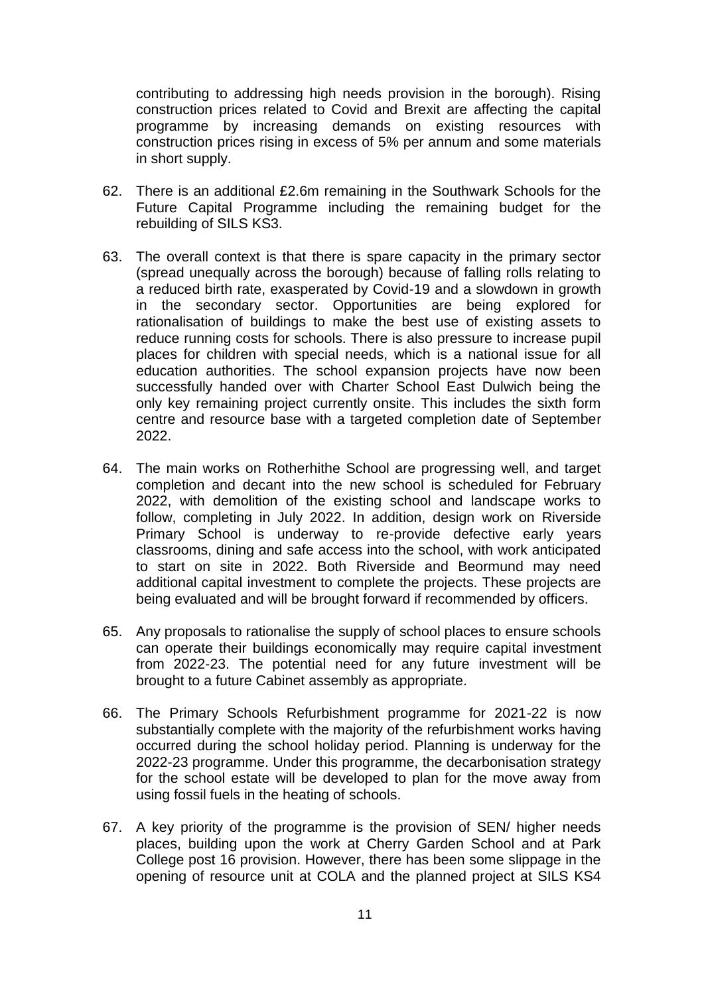contributing to addressing high needs provision in the borough). Rising construction prices related to Covid and Brexit are affecting the capital programme by increasing demands on existing resources with construction prices rising in excess of 5% per annum and some materials in short supply.

- 62. There is an additional £2.6m remaining in the Southwark Schools for the Future Capital Programme including the remaining budget for the rebuilding of SILS KS3.
- 63. The overall context is that there is spare capacity in the primary sector (spread unequally across the borough) because of falling rolls relating to a reduced birth rate, exasperated by Covid-19 and a slowdown in growth in the secondary sector. Opportunities are being explored for rationalisation of buildings to make the best use of existing assets to reduce running costs for schools. There is also pressure to increase pupil places for children with special needs, which is a national issue for all education authorities. The school expansion projects have now been successfully handed over with Charter School East Dulwich being the only key remaining project currently onsite. This includes the sixth form centre and resource base with a targeted completion date of September 2022.
- 64. The main works on Rotherhithe School are progressing well, and target completion and decant into the new school is scheduled for February 2022, with demolition of the existing school and landscape works to follow, completing in July 2022. In addition, design work on Riverside Primary School is underway to re-provide defective early years classrooms, dining and safe access into the school, with work anticipated to start on site in 2022. Both Riverside and Beormund may need additional capital investment to complete the projects. These projects are being evaluated and will be brought forward if recommended by officers.
- 65. Any proposals to rationalise the supply of school places to ensure schools can operate their buildings economically may require capital investment from 2022-23. The potential need for any future investment will be brought to a future Cabinet assembly as appropriate.
- 66. The Primary Schools Refurbishment programme for 2021-22 is now substantially complete with the majority of the refurbishment works having occurred during the school holiday period. Planning is underway for the 2022-23 programme. Under this programme, the decarbonisation strategy for the school estate will be developed to plan for the move away from using fossil fuels in the heating of schools.
- 67. A key priority of the programme is the provision of SEN/ higher needs places, building upon the work at Cherry Garden School and at Park College post 16 provision. However, there has been some slippage in the opening of resource unit at COLA and the planned project at SILS KS4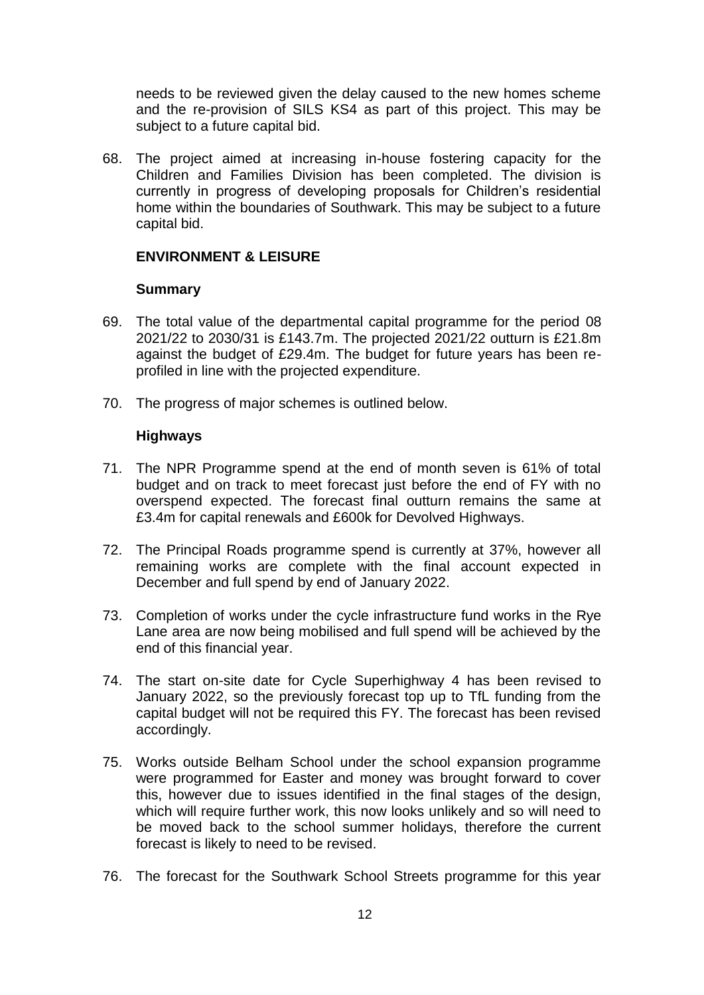needs to be reviewed given the delay caused to the new homes scheme and the re-provision of SILS KS4 as part of this project. This may be subject to a future capital bid.

68. The project aimed at increasing in-house fostering capacity for the Children and Families Division has been completed. The division is currently in progress of developing proposals for Children's residential home within the boundaries of Southwark. This may be subject to a future capital bid.

#### **ENVIRONMENT & LEISURE**

#### **Summary**

- 69. The total value of the departmental capital programme for the period 08 2021/22 to 2030/31 is £143.7m. The projected 2021/22 outturn is £21.8m against the budget of £29.4m. The budget for future years has been reprofiled in line with the projected expenditure.
- 70. The progress of major schemes is outlined below.

## **Highways**

- 71. The NPR Programme spend at the end of month seven is 61% of total budget and on track to meet forecast just before the end of FY with no overspend expected. The forecast final outturn remains the same at £3.4m for capital renewals and £600k for Devolved Highways.
- 72. The Principal Roads programme spend is currently at 37%, however all remaining works are complete with the final account expected in December and full spend by end of January 2022.
- 73. Completion of works under the cycle infrastructure fund works in the Rye Lane area are now being mobilised and full spend will be achieved by the end of this financial year.
- 74. The start on-site date for Cycle Superhighway 4 has been revised to January 2022, so the previously forecast top up to TfL funding from the capital budget will not be required this FY. The forecast has been revised accordingly.
- 75. Works outside Belham School under the school expansion programme were programmed for Easter and money was brought forward to cover this, however due to issues identified in the final stages of the design, which will require further work, this now looks unlikely and so will need to be moved back to the school summer holidays, therefore the current forecast is likely to need to be revised.
- 76. The forecast for the Southwark School Streets programme for this year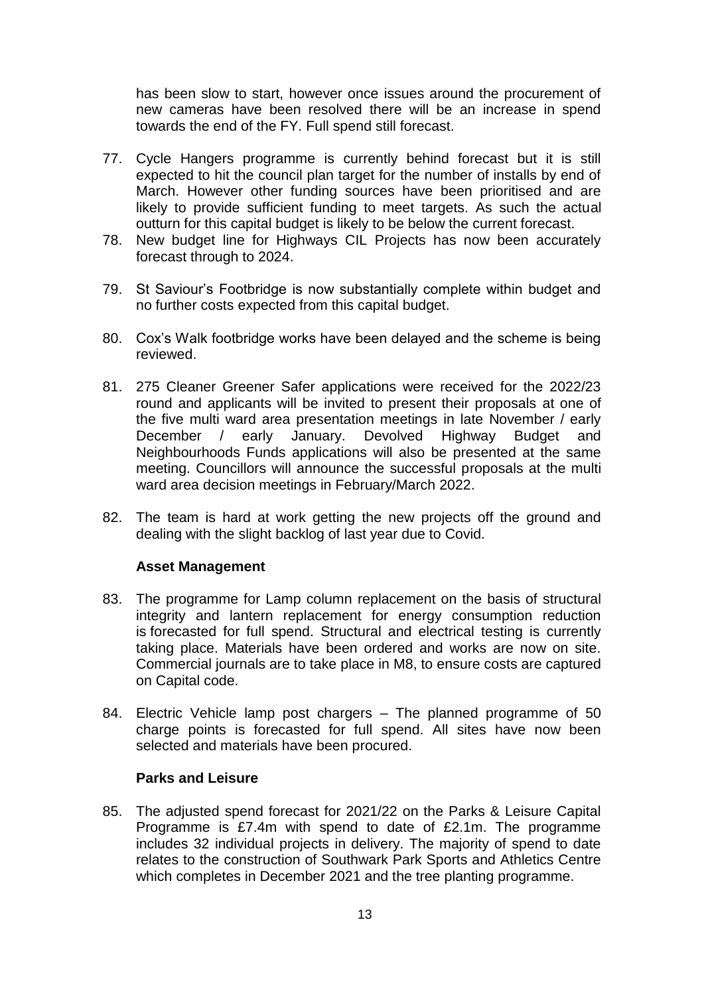has been slow to start, however once issues around the procurement of new cameras have been resolved there will be an increase in spend towards the end of the FY. Full spend still forecast.

- 77. Cycle Hangers programme is currently behind forecast but it is still expected to hit the council plan target for the number of installs by end of March. However other funding sources have been prioritised and are likely to provide sufficient funding to meet targets. As such the actual outturn for this capital budget is likely to be below the current forecast.
- 78. New budget line for Highways CIL Projects has now been accurately forecast through to 2024.
- 79. St Saviour's Footbridge is now substantially complete within budget and no further costs expected from this capital budget.
- 80. Cox's Walk footbridge works have been delayed and the scheme is being reviewed.
- 81. 275 Cleaner Greener Safer applications were received for the 2022/23 round and applicants will be invited to present their proposals at one of the five multi ward area presentation meetings in late November / early December / early January. Devolved Highway Budget and Neighbourhoods Funds applications will also be presented at the same meeting. Councillors will announce the successful proposals at the multi ward area decision meetings in February/March 2022.
- 82. The team is hard at work getting the new projects off the ground and dealing with the slight backlog of last year due to Covid.

#### **Asset Management**

- 83. The programme for Lamp column replacement on the basis of structural integrity and lantern replacement for energy consumption reduction is forecasted for full spend. Structural and electrical testing is currently taking place. Materials have been ordered and works are now on site. Commercial journals are to take place in M8, to ensure costs are captured on Capital code.
- 84. Electric Vehicle lamp post chargers The planned programme of 50 charge points is forecasted for full spend. All sites have now been selected and materials have been procured.

#### **Parks and Leisure**

85. The adjusted spend forecast for 2021/22 on the Parks & Leisure Capital Programme is £7.4m with spend to date of £2.1m. The programme includes 32 individual projects in delivery. The majority of spend to date relates to the construction of Southwark Park Sports and Athletics Centre which completes in December 2021 and the tree planting programme.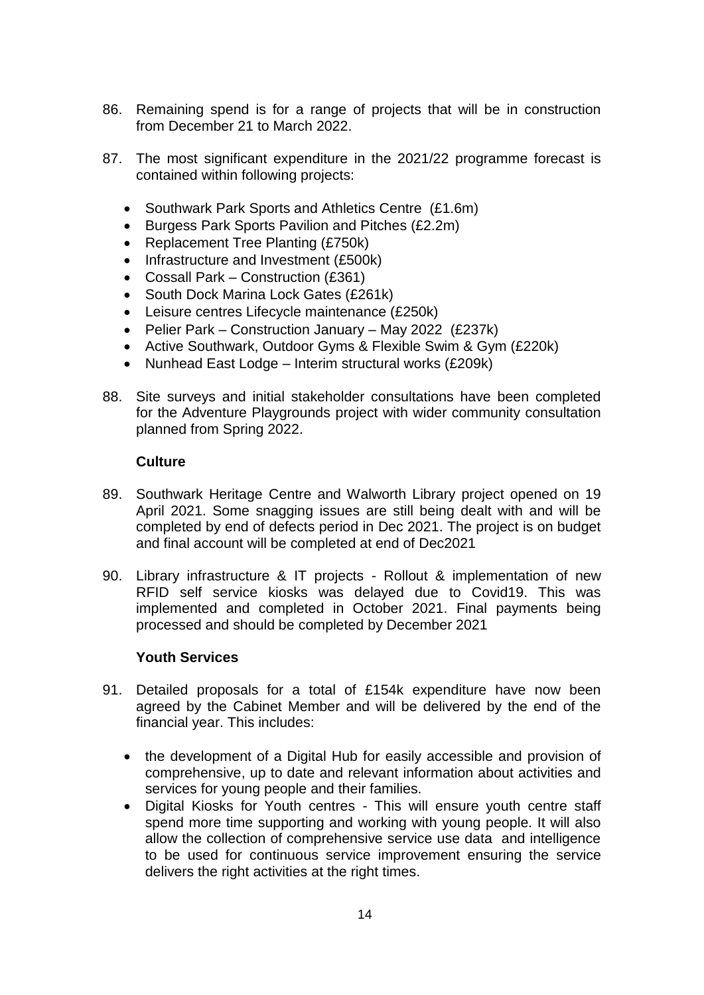- 86. Remaining spend is for a range of projects that will be in construction from December 21 to March 2022.
- 87. The most significant expenditure in the 2021/22 programme forecast is contained within following projects:
	- Southwark Park Sports and Athletics Centre (£1.6m)
	- Burgess Park Sports Pavilion and Pitches (£2.2m)
	- Replacement Tree Planting (£750k)
	- Infrastructure and Investment (£500k)
	- Cossall Park Construction (£361)
	- South Dock Marina Lock Gates (£261k)
	- Leisure centres Lifecycle maintenance (£250k)
	- Pelier Park Construction January May 2022 (£237k)
	- Active Southwark, Outdoor Gyms & Flexible Swim & Gym (£220k)
	- Nunhead East Lodge Interim structural works (£209k)
- 88. Site surveys and initial stakeholder consultations have been completed for the Adventure Playgrounds project with wider community consultation planned from Spring 2022.

#### **Culture**

- 89. Southwark Heritage Centre and Walworth Library project opened on 19 April 2021. Some snagging issues are still being dealt with and will be completed by end of defects period in Dec 2021. The project is on budget and final account will be completed at end of Dec2021
- 90. Library infrastructure & IT projects Rollout & implementation of new RFID self service kiosks was delayed due to Covid19. This was implemented and completed in October 2021. Final payments being processed and should be completed by December 2021

## **Youth Services**

- 91. Detailed proposals for a total of £154k expenditure have now been agreed by the Cabinet Member and will be delivered by the end of the financial year. This includes:
	- the development of a Digital Hub for easily accessible and provision of comprehensive, up to date and relevant information about activities and services for young people and their families.
	- Digital Kiosks for Youth centres This will ensure youth centre staff spend more time supporting and working with young people. It will also allow the collection of comprehensive service use data and intelligence to be used for continuous service improvement ensuring the service delivers the right activities at the right times.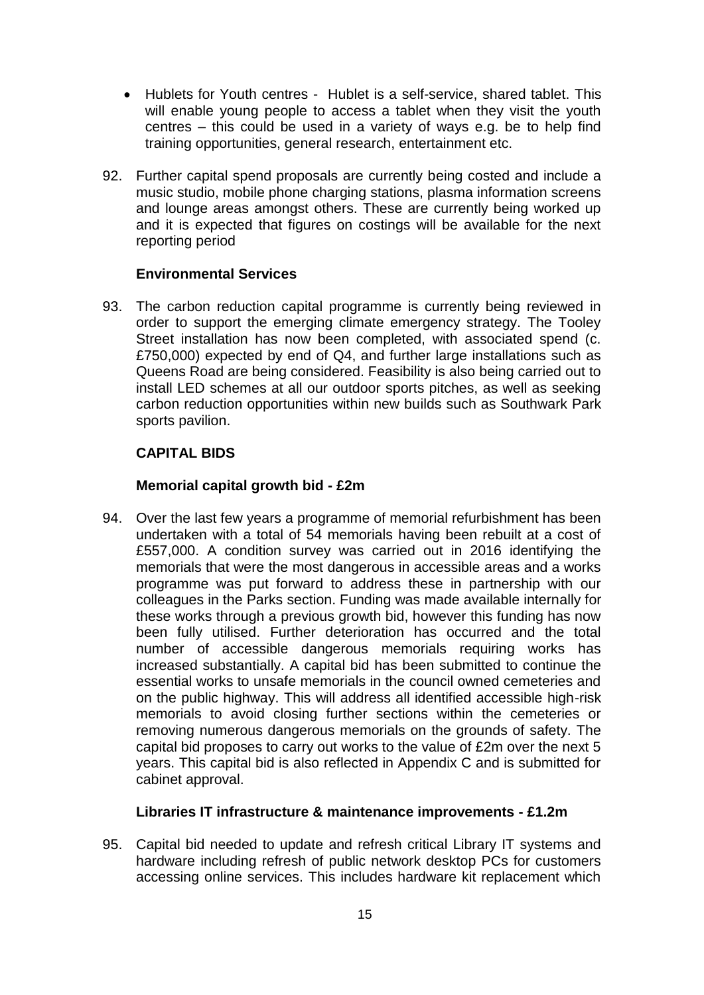- Hublets for Youth centres Hublet is a self-service, shared tablet. This will enable young people to access a tablet when they visit the youth centres – this could be used in a variety of ways e.g. be to help find training opportunities, general research, entertainment etc.
- 92. Further capital spend proposals are currently being costed and include a music studio, mobile phone charging stations, plasma information screens and lounge areas amongst others. These are currently being worked up and it is expected that figures on costings will be available for the next reporting period

#### **Environmental Services**

93. The carbon reduction capital programme is currently being reviewed in order to support the emerging climate emergency strategy. The Tooley Street installation has now been completed, with associated spend (c. £750,000) expected by end of Q4, and further large installations such as Queens Road are being considered. Feasibility is also being carried out to install LED schemes at all our outdoor sports pitches, as well as seeking carbon reduction opportunities within new builds such as Southwark Park sports pavilion.

## **CAPITAL BIDS**

## **Memorial capital growth bid - £2m**

94. Over the last few years a programme of memorial refurbishment has been undertaken with a total of 54 memorials having been rebuilt at a cost of £557,000. A condition survey was carried out in 2016 identifying the memorials that were the most dangerous in accessible areas and a works programme was put forward to address these in partnership with our colleagues in the Parks section. Funding was made available internally for these works through a previous growth bid, however this funding has now been fully utilised. Further deterioration has occurred and the total number of accessible dangerous memorials requiring works has increased substantially. A capital bid has been submitted to continue the essential works to unsafe memorials in the council owned cemeteries and on the public highway. This will address all identified accessible high-risk memorials to avoid closing further sections within the cemeteries or removing numerous dangerous memorials on the grounds of safety. The capital bid proposes to carry out works to the value of £2m over the next 5 years. This capital bid is also reflected in Appendix C and is submitted for cabinet approval.

#### **Libraries IT infrastructure & maintenance improvements - £1.2m**

95. Capital bid needed to update and refresh critical Library IT systems and hardware including refresh of public network desktop PCs for customers accessing online services. This includes hardware kit replacement which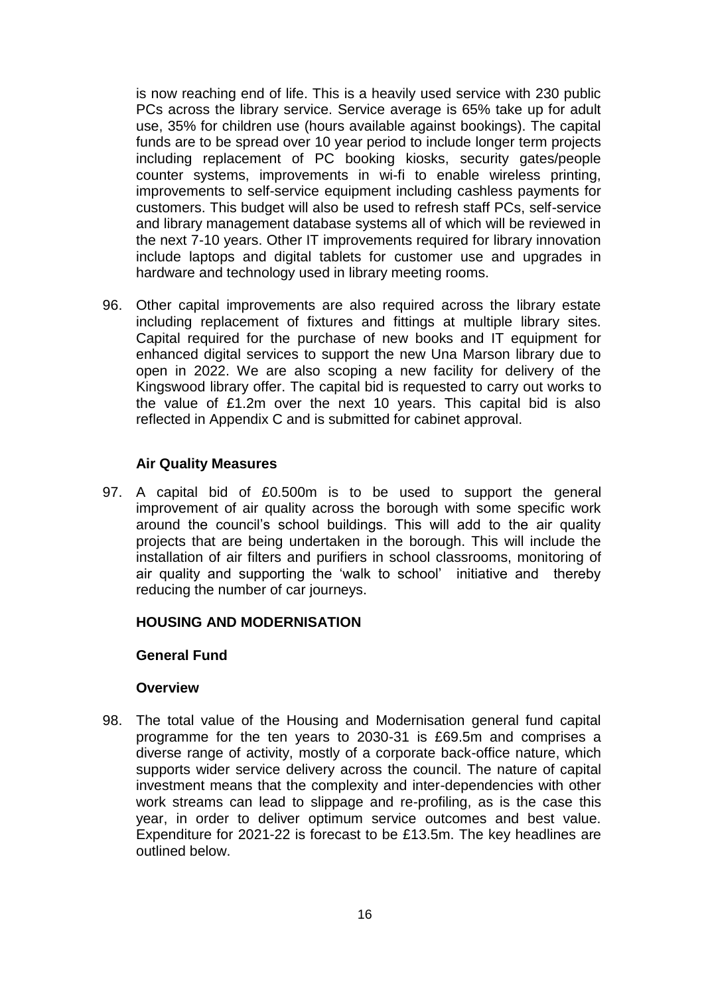is now reaching end of life. This is a heavily used service with 230 public PCs across the library service. Service average is 65% take up for adult use, 35% for children use (hours available against bookings). The capital funds are to be spread over 10 year period to include longer term projects including replacement of PC booking kiosks, security gates/people counter systems, improvements in wi-fi to enable wireless printing, improvements to self-service equipment including cashless payments for customers. This budget will also be used to refresh staff PCs, self-service and library management database systems all of which will be reviewed in the next 7-10 years. Other IT improvements required for library innovation include laptops and digital tablets for customer use and upgrades in hardware and technology used in library meeting rooms.

96. Other capital improvements are also required across the library estate including replacement of fixtures and fittings at multiple library sites. Capital required for the purchase of new books and IT equipment for enhanced digital services to support the new Una Marson library due to open in 2022. We are also scoping a new facility for delivery of the Kingswood library offer. The capital bid is requested to carry out works to the value of £1.2m over the next 10 years. This capital bid is also reflected in Appendix C and is submitted for cabinet approval.

#### **Air Quality Measures**

97. A capital bid of £0.500m is to be used to support the general improvement of air quality across the borough with some specific work around the council's school buildings. This will add to the air quality projects that are being undertaken in the borough. This will include the installation of air filters and purifiers in school classrooms, monitoring of air quality and supporting the 'walk to school' initiative and thereby reducing the number of car journeys.

## **HOUSING AND MODERNISATION**

#### **General Fund**

#### **Overview**

98. The total value of the Housing and Modernisation general fund capital programme for the ten years to 2030-31 is £69.5m and comprises a diverse range of activity, mostly of a corporate back-office nature, which supports wider service delivery across the council. The nature of capital investment means that the complexity and inter-dependencies with other work streams can lead to slippage and re-profiling, as is the case this year, in order to deliver optimum service outcomes and best value. Expenditure for 2021-22 is forecast to be £13.5m. The key headlines are outlined below.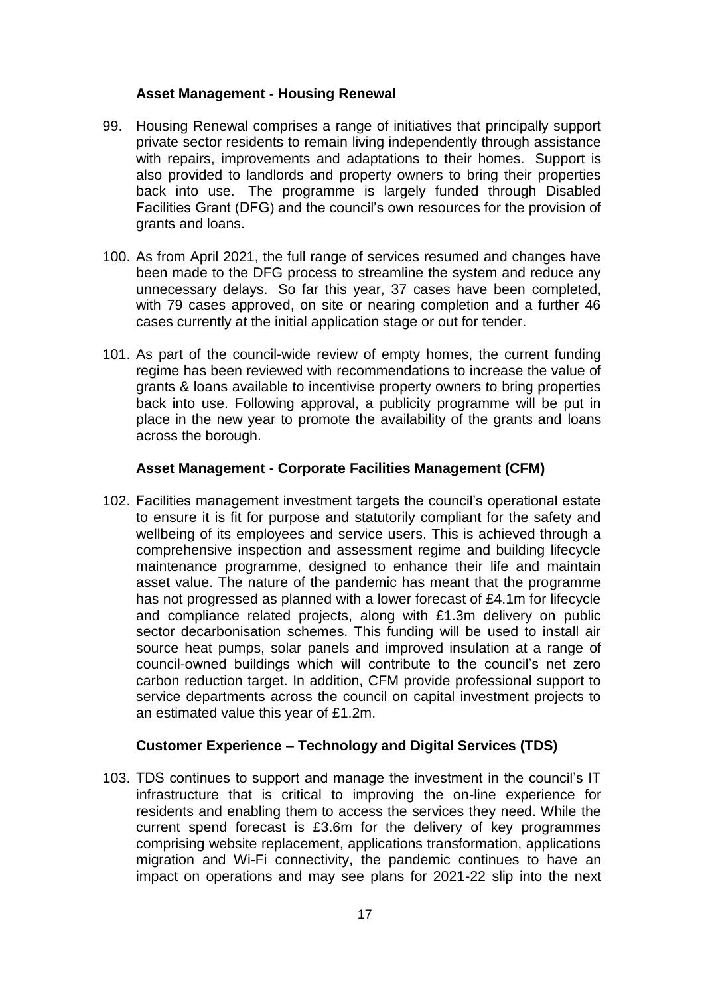## **Asset Management - Housing Renewal**

- 99. Housing Renewal comprises a range of initiatives that principally support private sector residents to remain living independently through assistance with repairs, improvements and adaptations to their homes. Support is also provided to landlords and property owners to bring their properties back into use. The programme is largely funded through Disabled Facilities Grant (DFG) and the council's own resources for the provision of grants and loans.
- 100. As from April 2021, the full range of services resumed and changes have been made to the DFG process to streamline the system and reduce any unnecessary delays. So far this year, 37 cases have been completed, with 79 cases approved, on site or nearing completion and a further 46 cases currently at the initial application stage or out for tender.
- 101. As part of the council-wide review of empty homes, the current funding regime has been reviewed with recommendations to increase the value of grants & loans available to incentivise property owners to bring properties back into use. Following approval, a publicity programme will be put in place in the new year to promote the availability of the grants and loans across the borough.

## **Asset Management - Corporate Facilities Management (CFM)**

102. Facilities management investment targets the council's operational estate to ensure it is fit for purpose and statutorily compliant for the safety and wellbeing of its employees and service users. This is achieved through a comprehensive inspection and assessment regime and building lifecycle maintenance programme, designed to enhance their life and maintain asset value. The nature of the pandemic has meant that the programme has not progressed as planned with a lower forecast of £4.1m for lifecycle and compliance related projects, along with £1.3m delivery on public sector decarbonisation schemes. This funding will be used to install air source heat pumps, solar panels and improved insulation at a range of council-owned buildings which will contribute to the council's net zero carbon reduction target. In addition, CFM provide professional support to service departments across the council on capital investment projects to an estimated value this year of £1.2m.

## **Customer Experience – Technology and Digital Services (TDS)**

103. TDS continues to support and manage the investment in the council's IT infrastructure that is critical to improving the on-line experience for residents and enabling them to access the services they need. While the current spend forecast is £3.6m for the delivery of key programmes comprising website replacement, applications transformation, applications migration and Wi-Fi connectivity, the pandemic continues to have an impact on operations and may see plans for 2021-22 slip into the next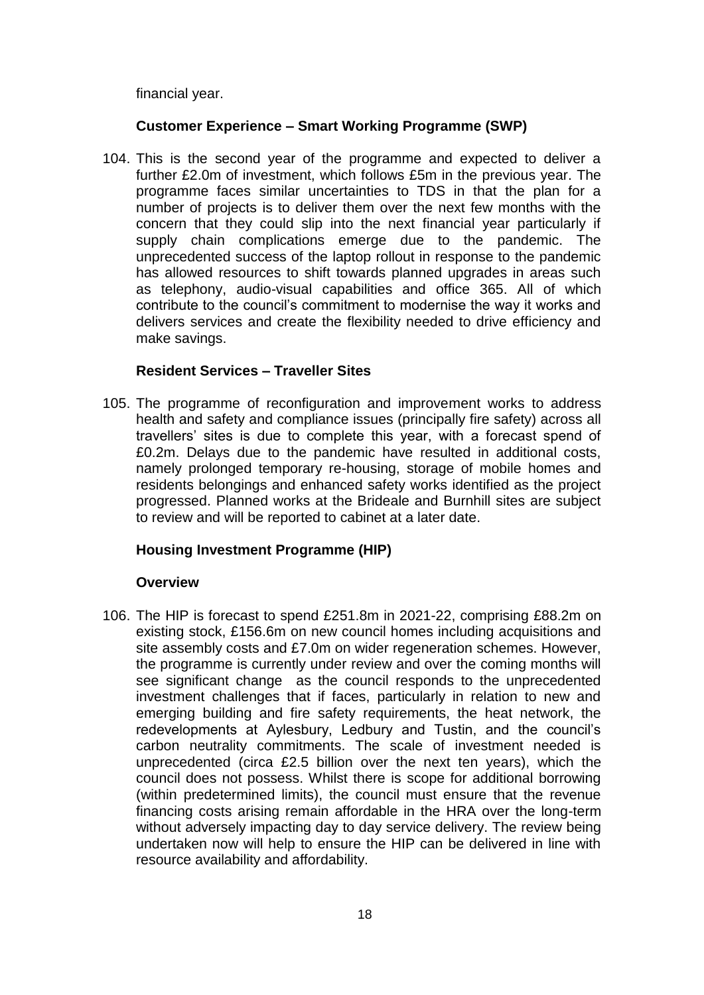financial year.

## **Customer Experience – Smart Working Programme (SWP)**

104. This is the second year of the programme and expected to deliver a further £2.0m of investment, which follows £5m in the previous year. The programme faces similar uncertainties to TDS in that the plan for a number of projects is to deliver them over the next few months with the concern that they could slip into the next financial year particularly if supply chain complications emerge due to the pandemic. The unprecedented success of the laptop rollout in response to the pandemic has allowed resources to shift towards planned upgrades in areas such as telephony, audio-visual capabilities and office 365. All of which contribute to the council's commitment to modernise the way it works and delivers services and create the flexibility needed to drive efficiency and make savings.

## **Resident Services – Traveller Sites**

105. The programme of reconfiguration and improvement works to address health and safety and compliance issues (principally fire safety) across all travellers' sites is due to complete this year, with a forecast spend of £0.2m. Delays due to the pandemic have resulted in additional costs, namely prolonged temporary re-housing, storage of mobile homes and residents belongings and enhanced safety works identified as the project progressed. Planned works at the Brideale and Burnhill sites are subject to review and will be reported to cabinet at a later date.

## **Housing Investment Programme (HIP)**

## **Overview**

106. The HIP is forecast to spend £251.8m in 2021-22, comprising £88.2m on existing stock, £156.6m on new council homes including acquisitions and site assembly costs and £7.0m on wider regeneration schemes. However, the programme is currently under review and over the coming months will see significant change as the council responds to the unprecedented investment challenges that if faces, particularly in relation to new and emerging building and fire safety requirements, the heat network, the redevelopments at Aylesbury, Ledbury and Tustin, and the council's carbon neutrality commitments. The scale of investment needed is unprecedented (circa £2.5 billion over the next ten years), which the council does not possess. Whilst there is scope for additional borrowing (within predetermined limits), the council must ensure that the revenue financing costs arising remain affordable in the HRA over the long-term without adversely impacting day to day service delivery. The review being undertaken now will help to ensure the HIP can be delivered in line with resource availability and affordability.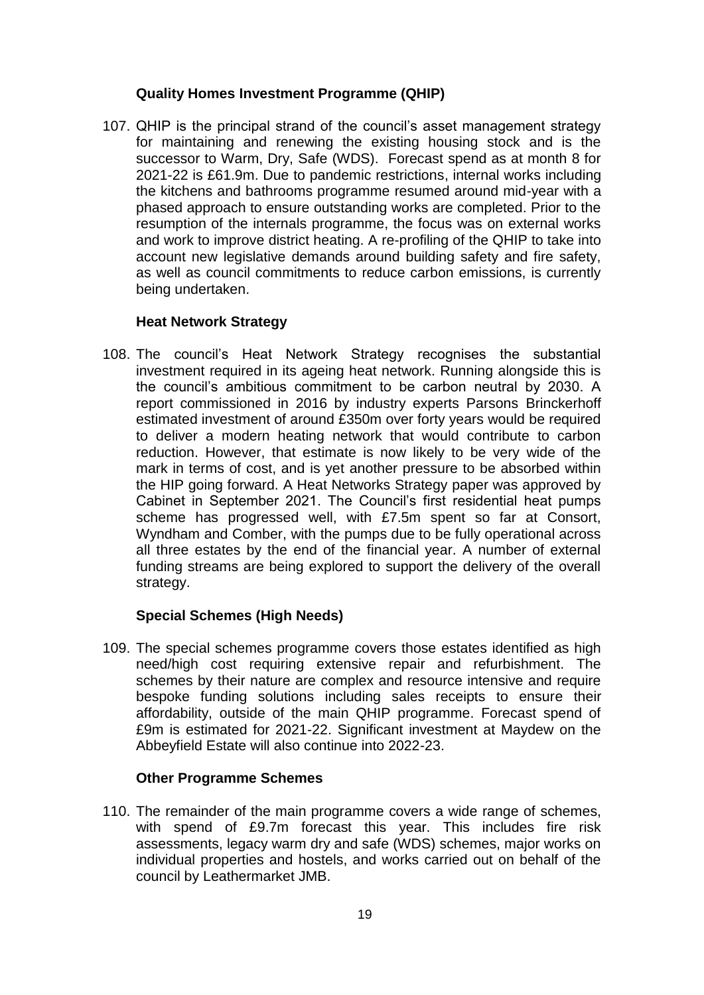## **Quality Homes Investment Programme (QHIP)**

107. QHIP is the principal strand of the council's asset management strategy for maintaining and renewing the existing housing stock and is the successor to Warm, Dry, Safe (WDS). Forecast spend as at month 8 for 2021-22 is £61.9m. Due to pandemic restrictions, internal works including the kitchens and bathrooms programme resumed around mid-year with a phased approach to ensure outstanding works are completed. Prior to the resumption of the internals programme, the focus was on external works and work to improve district heating. A re-profiling of the QHIP to take into account new legislative demands around building safety and fire safety, as well as council commitments to reduce carbon emissions, is currently being undertaken.

## **Heat Network Strategy**

108. The council's Heat Network Strategy recognises the substantial investment required in its ageing heat network. Running alongside this is the council's ambitious commitment to be carbon neutral by 2030. A report commissioned in 2016 by industry experts Parsons Brinckerhoff estimated investment of around £350m over forty years would be required to deliver a modern heating network that would contribute to carbon reduction. However, that estimate is now likely to be very wide of the mark in terms of cost, and is yet another pressure to be absorbed within the HIP going forward. A Heat Networks Strategy paper was approved by Cabinet in September 2021. The Council's first residential heat pumps scheme has progressed well, with £7.5m spent so far at Consort, Wyndham and Comber, with the pumps due to be fully operational across all three estates by the end of the financial year. A number of external funding streams are being explored to support the delivery of the overall strategy.

## **Special Schemes (High Needs)**

109. The special schemes programme covers those estates identified as high need/high cost requiring extensive repair and refurbishment. The schemes by their nature are complex and resource intensive and require bespoke funding solutions including sales receipts to ensure their affordability, outside of the main QHIP programme. Forecast spend of £9m is estimated for 2021-22. Significant investment at Maydew on the Abbeyfield Estate will also continue into 2022-23.

## **Other Programme Schemes**

110. The remainder of the main programme covers a wide range of schemes, with spend of £9.7m forecast this year. This includes fire risk assessments, legacy warm dry and safe (WDS) schemes, major works on individual properties and hostels, and works carried out on behalf of the council by Leathermarket JMB.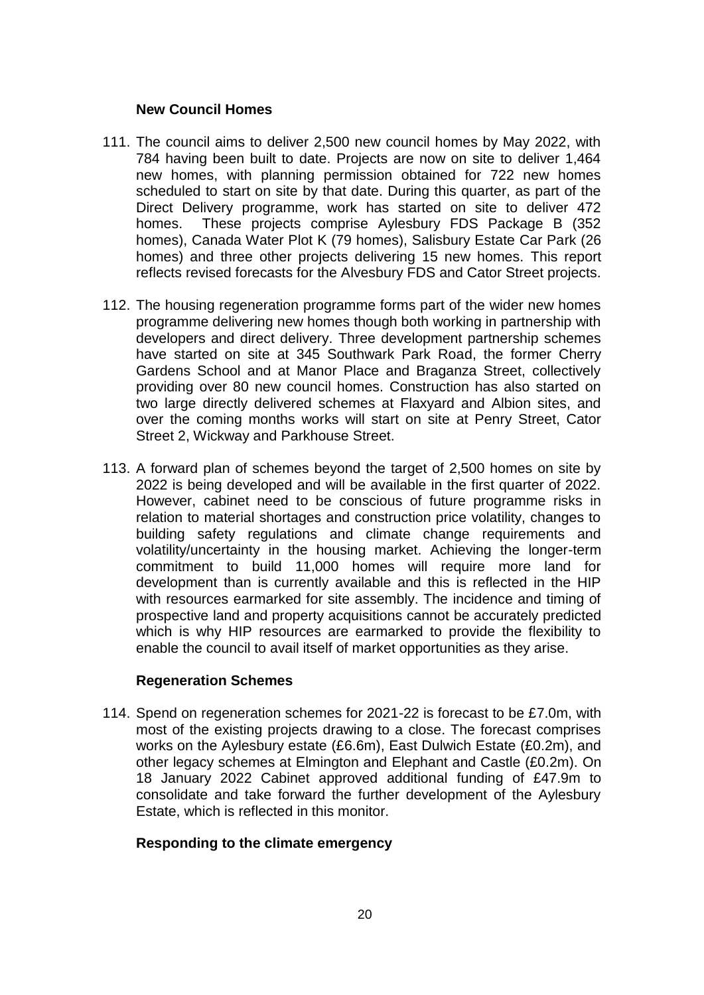#### **New Council Homes**

- 111. The council aims to deliver 2,500 new council homes by May 2022, with 784 having been built to date. Projects are now on site to deliver 1,464 new homes, with planning permission obtained for 722 new homes scheduled to start on site by that date. During this quarter, as part of the Direct Delivery programme, work has started on site to deliver 472 homes. These projects comprise Aylesbury FDS Package B (352 homes), Canada Water Plot K (79 homes), Salisbury Estate Car Park (26 homes) and three other projects delivering 15 new homes. This report reflects revised forecasts for the Alvesbury FDS and Cator Street projects.
- 112. The housing regeneration programme forms part of the wider new homes programme delivering new homes though both working in partnership with developers and direct delivery. Three development partnership schemes have started on site at 345 Southwark Park Road, the former Cherry Gardens School and at Manor Place and Braganza Street, collectively providing over 80 new council homes. Construction has also started on two large directly delivered schemes at Flaxyard and Albion sites, and over the coming months works will start on site at Penry Street, Cator Street 2, Wickway and Parkhouse Street.
- 113. A forward plan of schemes beyond the target of 2,500 homes on site by 2022 is being developed and will be available in the first quarter of 2022. However, cabinet need to be conscious of future programme risks in relation to material shortages and construction price volatility, changes to building safety regulations and climate change requirements and volatility/uncertainty in the housing market. Achieving the longer-term commitment to build 11,000 homes will require more land for development than is currently available and this is reflected in the HIP with resources earmarked for site assembly. The incidence and timing of prospective land and property acquisitions cannot be accurately predicted which is why HIP resources are earmarked to provide the flexibility to enable the council to avail itself of market opportunities as they arise.

## **Regeneration Schemes**

114. Spend on regeneration schemes for 2021-22 is forecast to be £7.0m, with most of the existing projects drawing to a close. The forecast comprises works on the Aylesbury estate (£6.6m), East Dulwich Estate (£0.2m), and other legacy schemes at Elmington and Elephant and Castle (£0.2m). On 18 January 2022 Cabinet approved additional funding of £47.9m to consolidate and take forward the further development of the Aylesbury Estate, which is reflected in this monitor.

## **Responding to the climate emergency**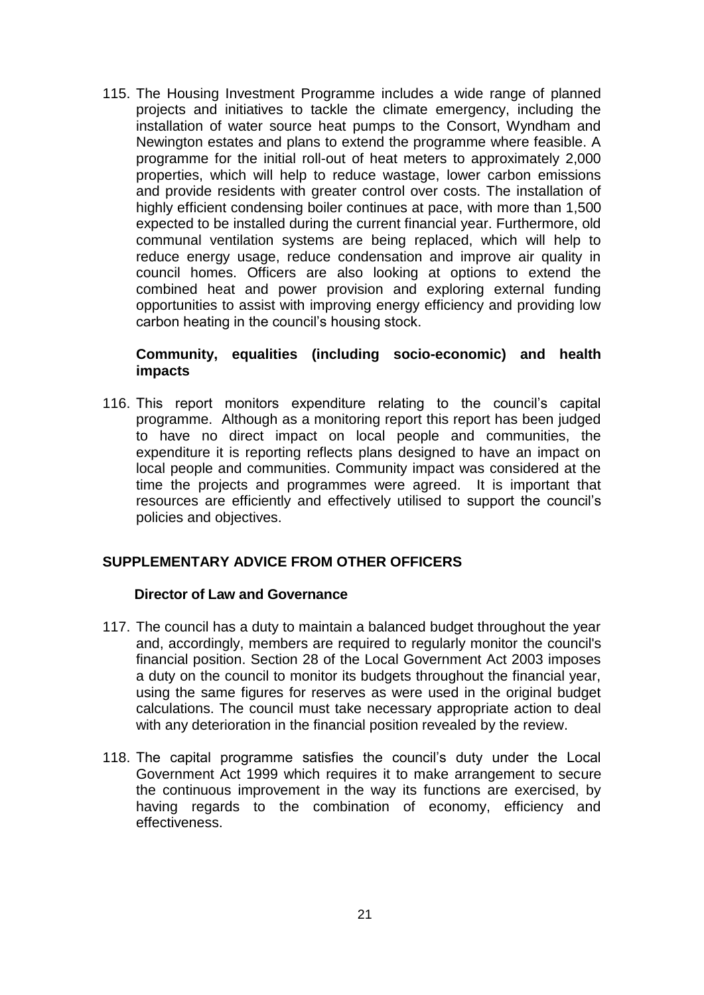115. The Housing Investment Programme includes a wide range of planned projects and initiatives to tackle the climate emergency, including the installation of water source heat pumps to the Consort, Wyndham and Newington estates and plans to extend the programme where feasible. A programme for the initial roll-out of heat meters to approximately 2,000 properties, which will help to reduce wastage, lower carbon emissions and provide residents with greater control over costs. The installation of highly efficient condensing boiler continues at pace, with more than 1,500 expected to be installed during the current financial year. Furthermore, old communal ventilation systems are being replaced, which will help to reduce energy usage, reduce condensation and improve air quality in council homes. Officers are also looking at options to extend the combined heat and power provision and exploring external funding opportunities to assist with improving energy efficiency and providing low carbon heating in the council's housing stock.

#### **Community, equalities (including socio-economic) and health impacts**

116. This report monitors expenditure relating to the council's capital programme. Although as a monitoring report this report has been judged to have no direct impact on local people and communities, the expenditure it is reporting reflects plans designed to have an impact on local people and communities. Community impact was considered at the time the projects and programmes were agreed. It is important that resources are efficiently and effectively utilised to support the council's policies and objectives.

## **SUPPLEMENTARY ADVICE FROM OTHER OFFICERS**

#### **Director of Law and Governance**

- 117. The council has a duty to maintain a balanced budget throughout the year and, accordingly, members are required to regularly monitor the council's financial position. Section 28 of the Local Government Act 2003 imposes a duty on the council to monitor its budgets throughout the financial year, using the same figures for reserves as were used in the original budget calculations. The council must take necessary appropriate action to deal with any deterioration in the financial position revealed by the review.
- 118. The capital programme satisfies the council's duty under the Local Government Act 1999 which requires it to make arrangement to secure the continuous improvement in the way its functions are exercised, by having regards to the combination of economy, efficiency and effectiveness.